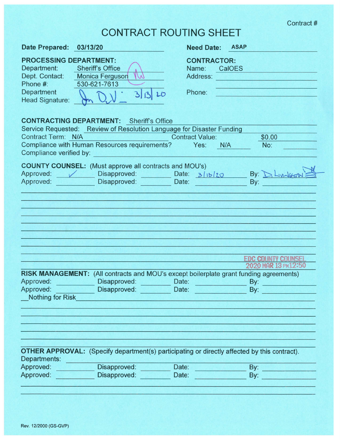| <b>CONTRACT ROUTING SHEET</b>                                                                               |                                                                                                                                                                                                                                                   |                                                   |                                                                |  |  |
|-------------------------------------------------------------------------------------------------------------|---------------------------------------------------------------------------------------------------------------------------------------------------------------------------------------------------------------------------------------------------|---------------------------------------------------|----------------------------------------------------------------|--|--|
| <b>Date Prepared:</b>                                                                                       | 03/13/20                                                                                                                                                                                                                                          | <b>Need Date:</b>                                 | <b>ASAP</b>                                                    |  |  |
| <b>PROCESSING DEPARTMENT:</b><br>Department:<br>Dept. Contact:<br>Phone #:<br>Department<br>Head Signature: | <b>Sheriff's Office</b><br><b>Monica Ferguson</b><br>(V)<br>530-621-7613<br>31320                                                                                                                                                                 | <b>CONTRACTOR:</b><br>Name:<br>Address:<br>Phone: | CalOES                                                         |  |  |
| Contract Term: N/A                                                                                          | <b>CONTRACTING DEPARTMENT:</b> Sheriff's Office<br>Service Requested: Review of Resolution Language for Disaster Funding<br>Compliance with Human Resources requirements? Yes:<br>Compliance verified by: example and the compliance verified by: | <b>Contract Value:</b><br>N/A                     | \$0.00<br>No:                                                  |  |  |
| Approved:<br>Approved:                                                                                      | <b>COUNTY COUNSEL:</b> (Must approve all contracts and MOU's)<br>Disapproved: Date: 3/13/20<br>Disapproved: Date:                                                                                                                                 |                                                   | By: D. Livingston<br>By:                                       |  |  |
| Approved:<br>Approved:                                                                                      | RISK MANAGEMENT: (All contracts and MOU's except boilerplate grant funding agreements)<br>Disapproved:<br>Disapproved:                                                                                                                            | Date:<br>Date:                                    | <b>EDC COUNTY COUNSEI</b><br>2020 MAR 13 PM12:50<br>By:<br>By: |  |  |
| Nothing for Risk<br>Departments:<br>Approved:<br>Approved:                                                  | <b>OTHER APPROVAL:</b> (Specify department(s) participating or directly affected by this contract).<br>Disapproved:<br>Disapproved:                                                                                                               | Date:<br>Date:                                    | By:<br>By:                                                     |  |  |

## Rev. 12/2000 (GS-GVP)

Contract #